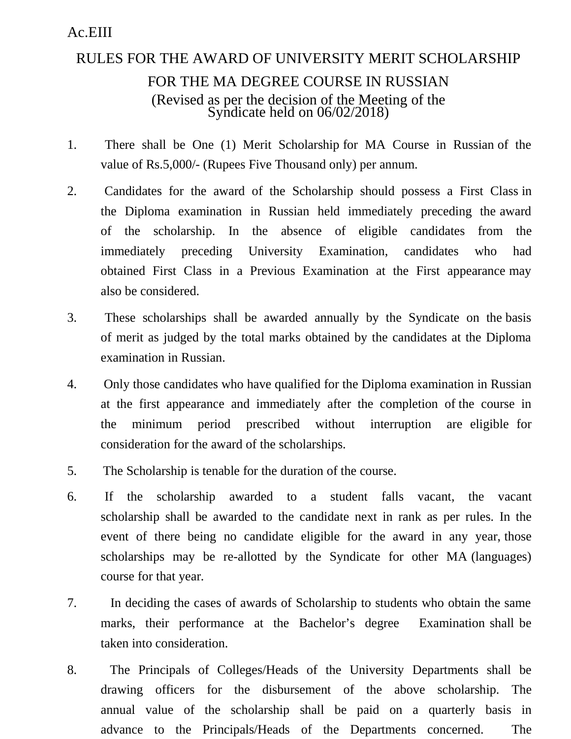## Ac.EIII

## RULES FOR THE AWARD OF UNIVERSITY MERIT SCHOLARSHIP FOR THE MA DEGREE COURSE IN RUSSIAN (Revised as per the decision of the Meeting of the Syndicate held on 06/02/2018)

- 1. There shall be One (1) Merit Scholarship for MA Course in Russian of the value of Rs.5,000/- (Rupees Five Thousand only) per annum.
- 2. Candidates for the award of the Scholarship should possess a First Class in the Diploma examination in Russian held immediately preceding the award of the scholarship. In the absence of eligible candidates from the immediately preceding University Examination, candidates who had obtained First Class in a Previous Examination at the First appearance may also be considered.
- 3. These scholarships shall be awarded annually by the Syndicate on the basis of merit as judged by the total marks obtained by the candidates at the Diploma examination in Russian.
- 4. Only those candidates who have qualified for the Diploma examination in Russian at the first appearance and immediately after the completion of the course in the minimum period prescribed without interruption are eligible for consideration for the award of the scholarships.
- 5. The Scholarship is tenable for the duration of the course.
- 6. If the scholarship awarded to a student falls vacant, the vacant scholarship shall be awarded to the candidate next in rank as per rules. In the event of there being no candidate eligible for the award in any year, those scholarships may be re-allotted by the Syndicate for other MA (languages) course for that year.
- 7. In deciding the cases of awards of Scholarship to students who obtain the same marks, their performance at the Bachelor's degree Examination shall be taken into consideration.
- 8. The Principals of Colleges/Heads of the University Departments shall be drawing officers for the disbursement of the above scholarship. The annual value of the scholarship shall be paid on a quarterly basis in advance to the Principals/Heads of the Departments concerned. The